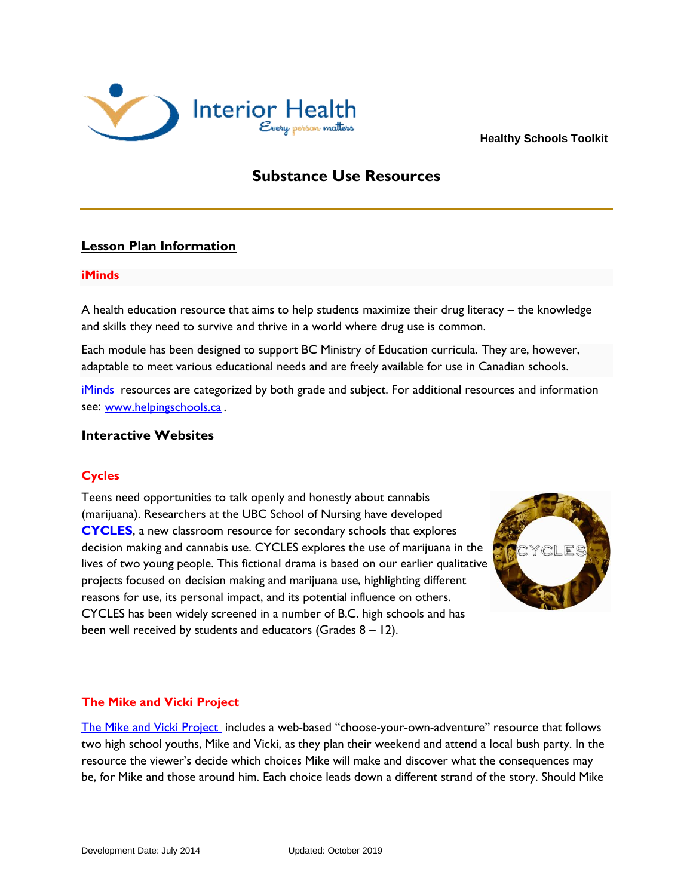

 **Healthy Schools Toolkit**

# **Substance Use Resources**

## **Lesson Plan Information**

#### **iMinds**

A health education resource that aims to help students maximize their drug literacy – the knowledge and skills they need to survive and thrive in a world where drug use is common.

Each module has been designed to support BC Ministry of Education curricula. They are, however, adaptable to meet various educational needs and are freely available for use in Canadian schools.

[iMinds](http://www.uvic.ca/research/centres/carbc/publications/helping-schools/iminds/index.php) resources are categorized by both grade and subject. For additional resources and information see: [www.helpingschools.ca](http://www.helpingschools.ca/) .

## **Interactive Websites**

## **Cycles**

Teens need opportunities to talk openly and honestly about cannabis (marijuana). Researchers at the UBC School of Nursing have developed **[CYCLES](https://www.uvic.ca/research/centres/cisur/publications/helping-schools/cycles/index.php)**, a new classroom resource for secondary schools that explores decision making and cannabis use. CYCLES explores the use of marijuana in the lives of two young people. This fictional drama is based on our earlier qualitative projects focused on decision making and marijuana use, highlighting different reasons for use, its personal impact, and its potential influence on others. CYCLES has been widely screened in a number of B.C. high schools and has been well received by students and educators (Grades 8 – 12).



#### **The Mike and Vicki Project**

[The Mike and Vicki Project](http://www.mikeandvicki.ca/) includes a web-based "choose-your-own-adventure" resource that follows two high school youths, Mike and Vicki, as they plan their weekend and attend a local bush party. In the resource the viewer's decide which choices Mike will make and discover what the consequences may be, for Mike and those around him. Each choice leads down a different strand of the story. Should Mike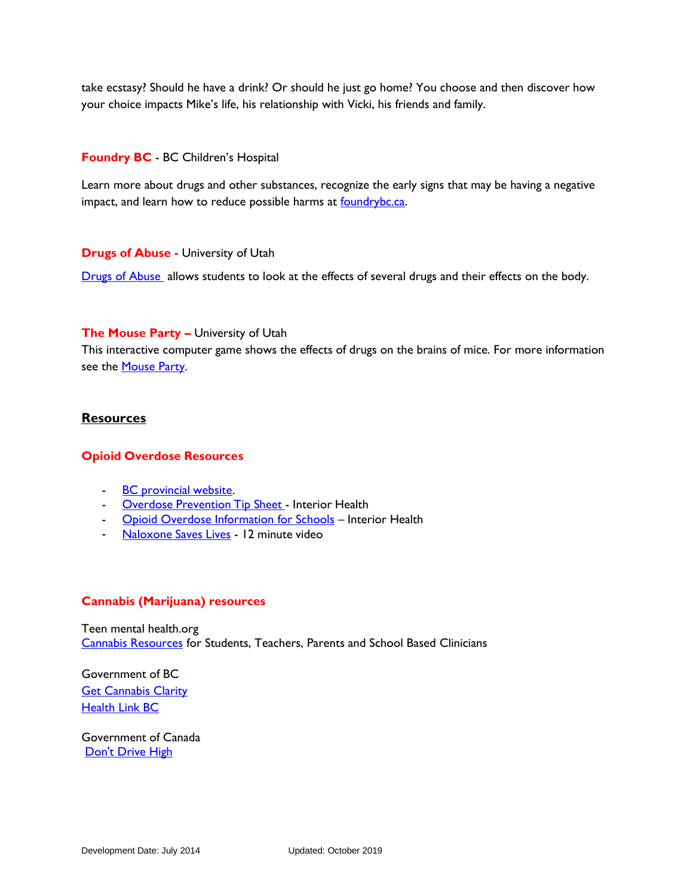take ecstasy? Should he have a drink? Or should he just go home? You choose and then discover how your choice impacts Mike's life, his relationship with Vicki, his friends and family.

#### **Foundry BC** - BC Children's Hospital

Learn more about drugs and other substances, recognize the early signs that may be having a negative impact, and learn how to reduce possible harms at [foundrybc.ca.](https://foundrybc.ca/resource/drug-substance-use/)

#### **Drugs of Abuse -** University of Utah

[Drugs of Abuse](http://learn.genetics.utah.edu/content/addiction/abuse/) allows students to look at the effects of several drugs and their effects on the body.

#### **The Mouse Party –** University of Utah

This interactive computer game shows the effects of drugs on the brains of mice. For more information see the **Mouse Party**.

### **Resources**

#### **Opioid Overdose Resources**

- **BC** [provincial](http://www2.gov.bc.ca/gov/content/overdose) website.
- **Overdose [Prevention](https://www.interiorhealth.ca/YourEnvironment/CommunicableDiseaseControl/Documents/OD%20Prevention.pdf) Tip Sheet Interior Health**
- [Opioid Overdose Information for Schools](-%09https:/www.interiorhealth.ca/sites/Partners/SchoolDistricts/Documents/Opioid%20Overdose%20Information%20for%20Schools.pdf) Interior Health
- [Naloxone](https://player.vimeo.com/video/164669763) Saves Lives 12 minute video

#### **Cannabis (Marijuana) resources**

Teen mental health.org [Cannabis Resources](http://teenmentalhealth.org/cannabis/) for Students, Teachers, Parents and School Based Clinicians

Government of BC **[Get Cannabis Clarity](https://cannabis.gov.bc.ca/)** [Health Link BC](https://www.healthlinkbc.ca/health-feature/cannabis)

Government of Canada [Don't Drive High](https://www.canada.ca/en/campaign/don-t-drive-high.html)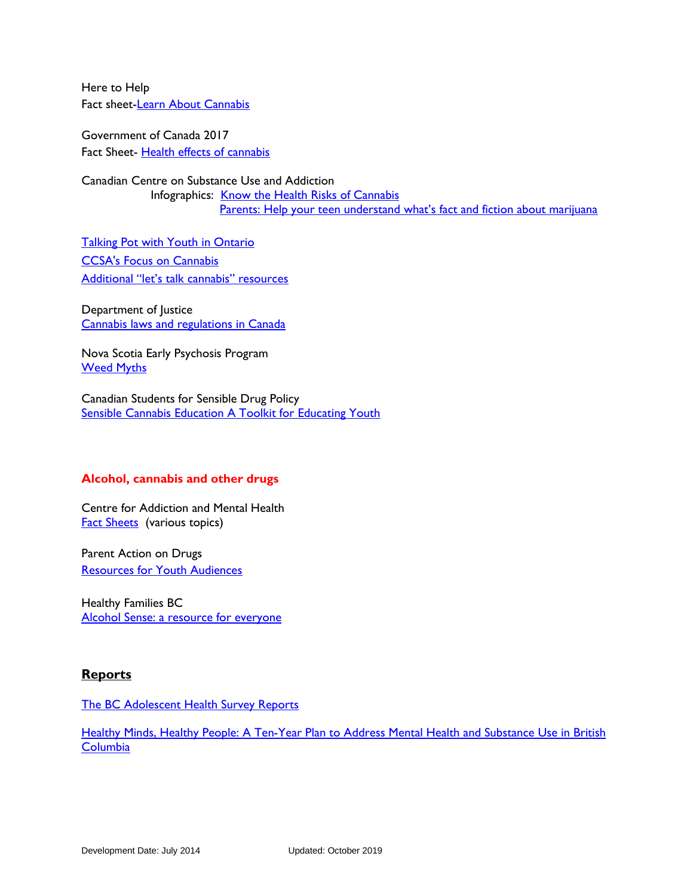Here to Help Fact sheet[-Learn About Cannabis](http://www.heretohelp.bc.ca/factsheet/cannabis)

Government of Canada 2017 Fact Sheet- [Health effects of cannabis](https://www.canada.ca/content/dam/hc-sc/documents/services/campaigns/27-16-1808-Factsheet-Health-Effects-eng-web.pdf) 

Canadian Centre on Substance Use and Addiction Infographics: [Know the Health Risks of Cannabis](https://www.ccsa.ca/know-health-risks-cannabis-infographic) Parents: Help your teen understand what's fact and fiction about marijuana

**[Talking Pot with Youth in Ontario](https://www.ccsa.ca/sites/default/files/2019-03/CCSA-Cannabis-Communication-Guide-2018-en_0.pdf)** [CCSA's Focus on Cannabis](https://www.ccsa.ca/cannabis) [Additional "let's talk cannabis" resources](https://www.ccsa.ca/lets-talk-cannabis)

Department of Justice [Cannabis laws and regulations in Canada](https://www.canada.ca/en/health-canada/services/drugs-medication/cannabis/laws-regulations.html) 

Nova Scotia Early Psychosis Program [Weed Myths](http://weedmyths.ca/)

Canadian Students for Sensible Drug Policy [Sensible Cannabis Education A Toolkit for Educating Youth](https://cssdp.org/uploads/2018/04/Sensible-Cannabis-Education-A-Toolkit-for-Educating-Youth.pdf)

## **Alcohol, cannabis and other drugs**

Centre for Addiction and Mental Health [Fact Sheets](https://www.camh.ca/health-info/mental-illness-and-addiction-index?query=*&facets=filter_tags:EC6B6B756D0141E9AEF735C3D05FFBDA)(various topics)

Parent Action on Drugs [Resources for Youth Audiences](http://parentactionondrugs.org/program-resources/resources-for-youth/)

Healthy Families BC [Alcohol Sense: a resource for everyone](https://www.healthyfamiliesbc.ca/home/articles/topic/alcohol-sense)

## **Reports**

[The BC Adolescent Health Survey Reports](https://www.mcs.bc.ca/download_resources)

Healthy Minds, Healthy People: A Ten-Year Plan to Address Mental Health and Substance Use in British **[Columbia](http://www.health.gov.bc.ca/library/publications/year/2010/healthy_minds_healthy_people.pdf)**